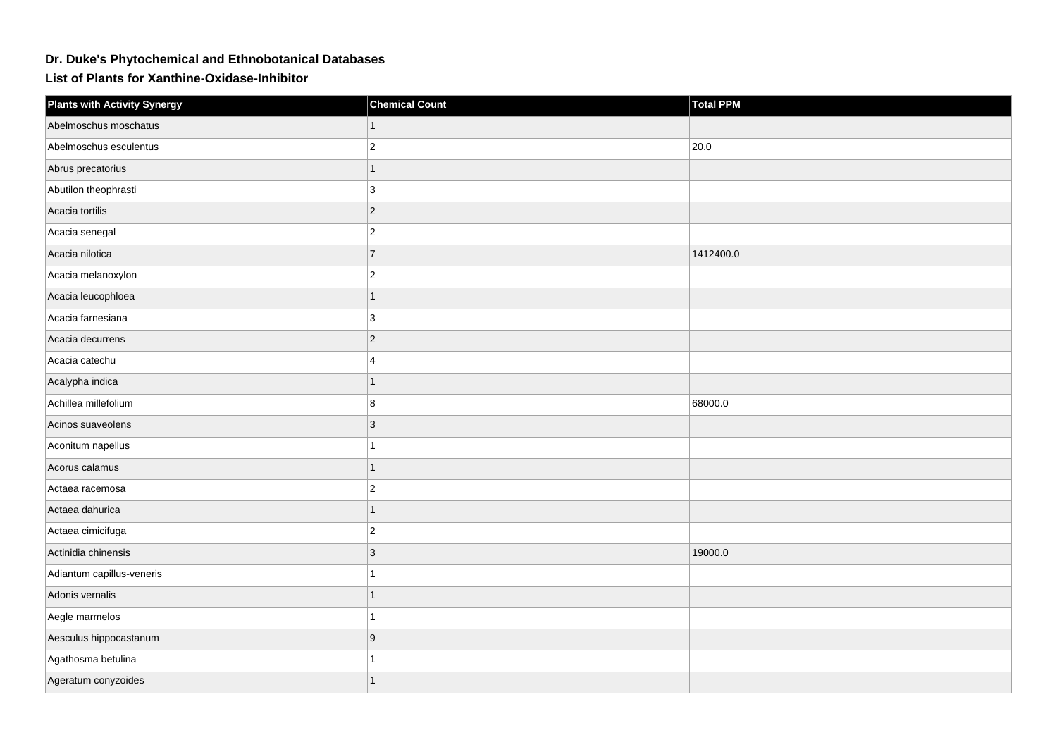## **Dr. Duke's Phytochemical and Ethnobotanical Databases**

**List of Plants for Xanthine-Oxidase-Inhibitor**

| <b>Plants with Activity Synergy</b> | <b>Chemical Count</b> | <b>Total PPM</b> |
|-------------------------------------|-----------------------|------------------|
| Abelmoschus moschatus               |                       |                  |
| Abelmoschus esculentus              | $\overline{c}$        | 20.0             |
| Abrus precatorius                   | 1                     |                  |
| Abutilon theophrasti                | 3                     |                  |
| Acacia tortilis                     | $\overline{2}$        |                  |
| Acacia senegal                      | $\overline{2}$        |                  |
| Acacia nilotica                     | $\overline{7}$        | 1412400.0        |
| Acacia melanoxylon                  | $\overline{2}$        |                  |
| Acacia leucophloea                  | $\overline{1}$        |                  |
| Acacia farnesiana                   | 3                     |                  |
| Acacia decurrens                    | $\overline{2}$        |                  |
| Acacia catechu                      | $\boldsymbol{\Delta}$ |                  |
| Acalypha indica                     |                       |                  |
| Achillea millefolium                | 8                     | 68000.0          |
| Acinos suaveolens                   | 3                     |                  |
| Aconitum napellus                   |                       |                  |
| Acorus calamus                      | 1                     |                  |
| Actaea racemosa                     | $\overline{2}$        |                  |
| Actaea dahurica                     |                       |                  |
| Actaea cimicifuga                   | $\overline{2}$        |                  |
| Actinidia chinensis                 | 3                     | 19000.0          |
| Adiantum capillus-veneris           |                       |                  |
| Adonis vernalis                     |                       |                  |
| Aegle marmelos                      |                       |                  |
| Aesculus hippocastanum              | 9                     |                  |
| Agathosma betulina                  |                       |                  |
| Ageratum conyzoides                 |                       |                  |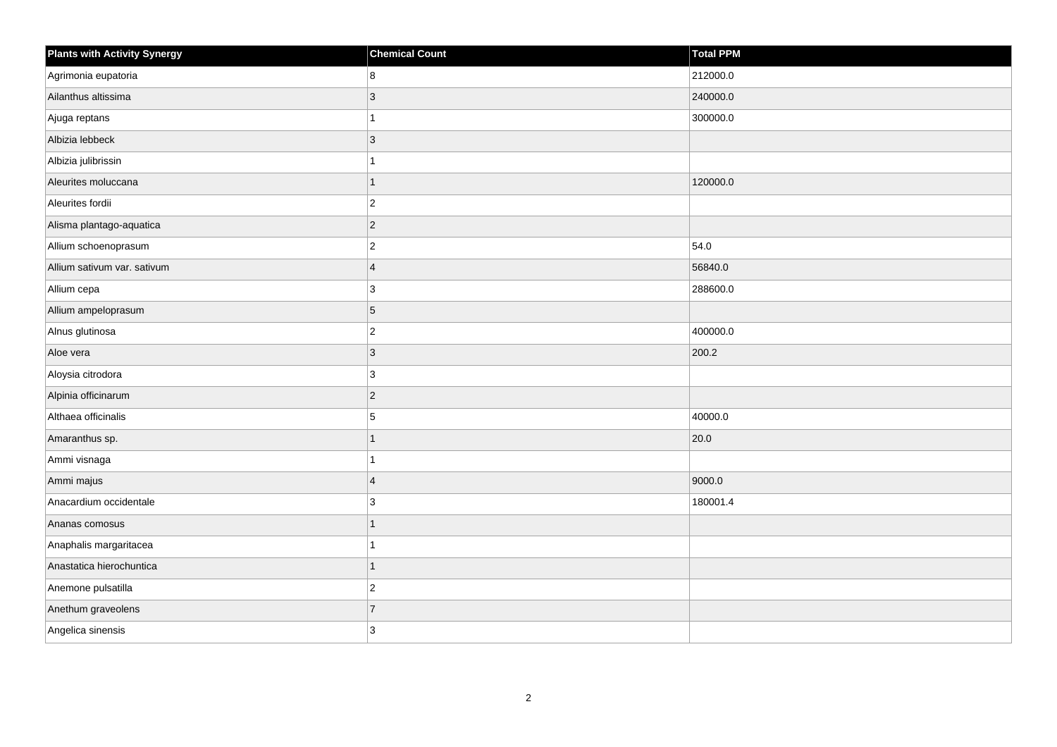| <b>Plants with Activity Synergy</b> | <b>Chemical Count</b> | Total PPM |
|-------------------------------------|-----------------------|-----------|
| Agrimonia eupatoria                 | 8                     | 212000.0  |
| Ailanthus altissima                 | 3                     | 240000.0  |
| Ajuga reptans                       |                       | 300000.0  |
| Albizia lebbeck                     | $ 3\rangle$           |           |
| Albizia julibrissin                 |                       |           |
| Aleurites moluccana                 |                       | 120000.0  |
| Aleurites fordii                    | $\vert$ 2             |           |
| Alisma plantago-aquatica            | $ 2\rangle$           |           |
| Allium schoenoprasum                | $\overline{c}$        | 54.0      |
| Allium sativum var. sativum         | $\overline{4}$        | 56840.0   |
| Allium cepa                         | $\mathbf{3}$          | 288600.0  |
| Allium ampeloprasum                 | 5                     |           |
| Alnus glutinosa                     | $ 2\rangle$           | 400000.0  |
| Aloe vera                           | 3                     | 200.2     |
| Aloysia citrodora                   | 3                     |           |
| Alpinia officinarum                 | $ 2\rangle$           |           |
| Althaea officinalis                 | 5                     | 40000.0   |
| Amaranthus sp.                      |                       | 20.0      |
| Ammi visnaga                        |                       |           |
| Ammi majus                          | $\overline{4}$        | 9000.0    |
| Anacardium occidentale              | 3                     | 180001.4  |
| Ananas comosus                      |                       |           |
| Anaphalis margaritacea              |                       |           |
| Anastatica hierochuntica            |                       |           |
| Anemone pulsatilla                  | $ 2\rangle$           |           |
| Anethum graveolens                  | $\overline{7}$        |           |
| Angelica sinensis                   | 3                     |           |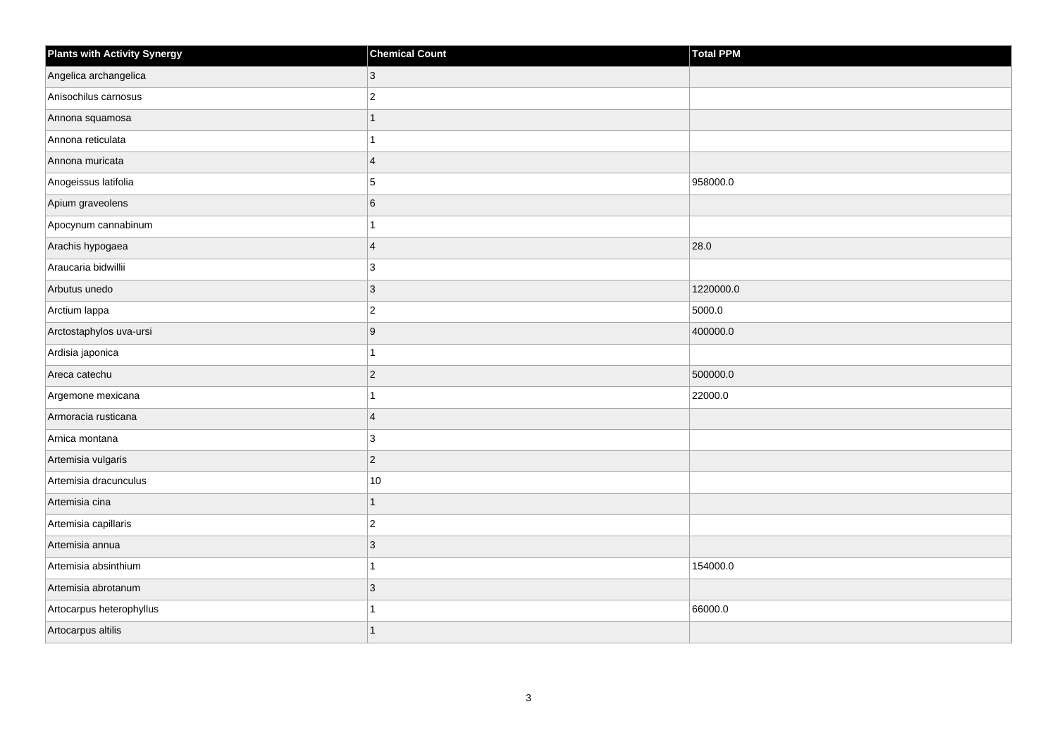| <b>Plants with Activity Synergy</b> | <b>Chemical Count</b> | <b>Total PPM</b> |
|-------------------------------------|-----------------------|------------------|
| Angelica archangelica               | 3                     |                  |
| Anisochilus carnosus                | $\overline{2}$        |                  |
| Annona squamosa                     |                       |                  |
| Annona reticulata                   |                       |                  |
| Annona muricata                     | $\overline{4}$        |                  |
| Anogeissus latifolia                | 5                     | 958000.0         |
| Apium graveolens                    | 6                     |                  |
| Apocynum cannabinum                 |                       |                  |
| Arachis hypogaea                    | $\overline{4}$        | 28.0             |
| Araucaria bidwillii                 | 3                     |                  |
| Arbutus unedo                       | 3                     | 1220000.0        |
| Arctium lappa                       | $\overline{2}$        | 5000.0           |
| Arctostaphylos uva-ursi             | 9                     | 400000.0         |
| Ardisia japonica                    |                       |                  |
| Areca catechu                       | $\overline{2}$        | 500000.0         |
| Argemone mexicana                   | 1                     | 22000.0          |
| Armoracia rusticana                 | $\overline{4}$        |                  |
| Arnica montana                      | 3                     |                  |
| Artemisia vulgaris                  | $\overline{2}$        |                  |
| Artemisia dracunculus               | 10                    |                  |
| Artemisia cina                      | 1                     |                  |
| Artemisia capillaris                | $\overline{c}$        |                  |
| Artemisia annua                     | 3                     |                  |
| Artemisia absinthium                |                       | 154000.0         |
| Artemisia abrotanum                 | 3                     |                  |
| Artocarpus heterophyllus            |                       | 66000.0          |
| Artocarpus altilis                  |                       |                  |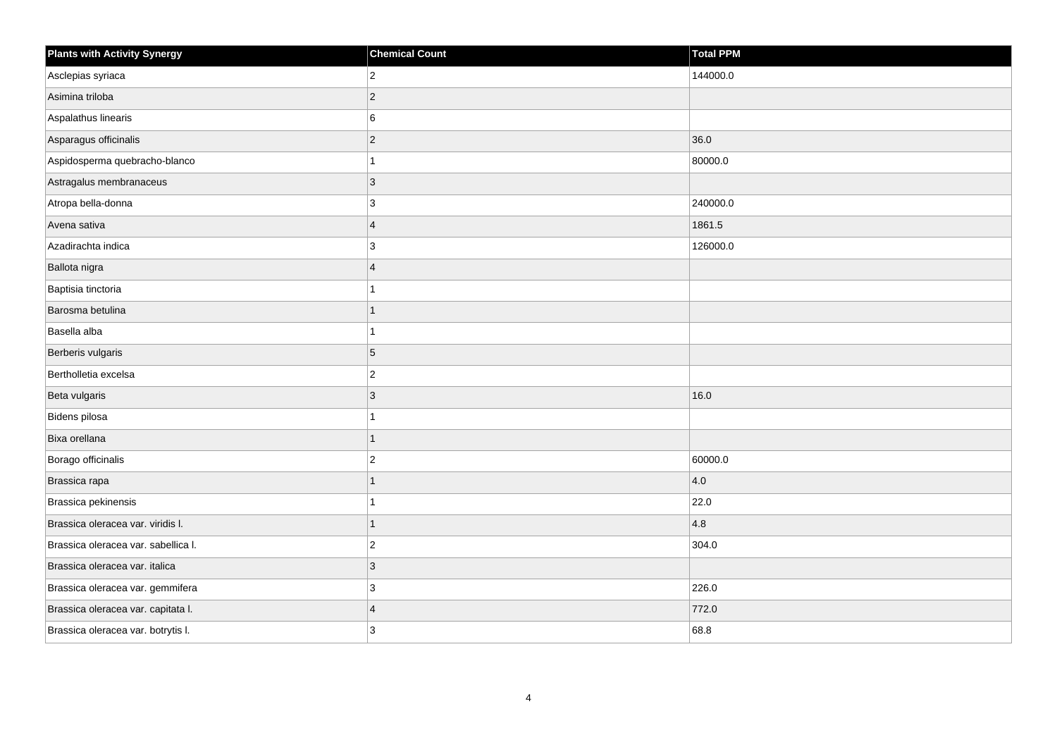| <b>Plants with Activity Synergy</b> | <b>Chemical Count</b>   | Total PPM |
|-------------------------------------|-------------------------|-----------|
| Asclepias syriaca                   | $\overline{2}$          | 144000.0  |
| Asimina triloba                     | $ 2\rangle$             |           |
| Aspalathus linearis                 | 6                       |           |
| Asparagus officinalis               | $ 2\rangle$             | 36.0      |
| Aspidosperma quebracho-blanco       | 1                       | 80000.0   |
| Astragalus membranaceus             | 3                       |           |
| Atropa bella-donna                  | $ 3\rangle$             | 240000.0  |
| Avena sativa                        | $\overline{4}$          | 1861.5    |
| Azadirachta indica                  | 3                       | 126000.0  |
| Ballota nigra                       | $\overline{4}$          |           |
| Baptisia tinctoria                  | 1                       |           |
| Barosma betulina                    | $\mathbf{1}$            |           |
| Basella alba                        | $\mathbf{1}$            |           |
| Berberis vulgaris                   | $\overline{5}$          |           |
| Bertholletia excelsa                | $ 2\rangle$             |           |
| Beta vulgaris                       | $\vert$ 3               | 16.0      |
| Bidens pilosa                       | 1                       |           |
| Bixa orellana                       | $\mathbf{1}$            |           |
| Borago officinalis                  | $ 2\rangle$             | 60000.0   |
| Brassica rapa                       | 1                       | 4.0       |
| Brassica pekinensis                 | 1                       | 22.0      |
| Brassica oleracea var. viridis I.   | 1                       | 4.8       |
| Brassica oleracea var. sabellica I. | $\vert$ 2               | 304.0     |
| Brassica oleracea var. italica      | 3                       |           |
| Brassica oleracea var. gemmifera    | 3                       | 226.0     |
| Brassica oleracea var. capitata I.  | $\overline{\mathbf{4}}$ | 772.0     |
| Brassica oleracea var. botrytis I.  | 3                       | 68.8      |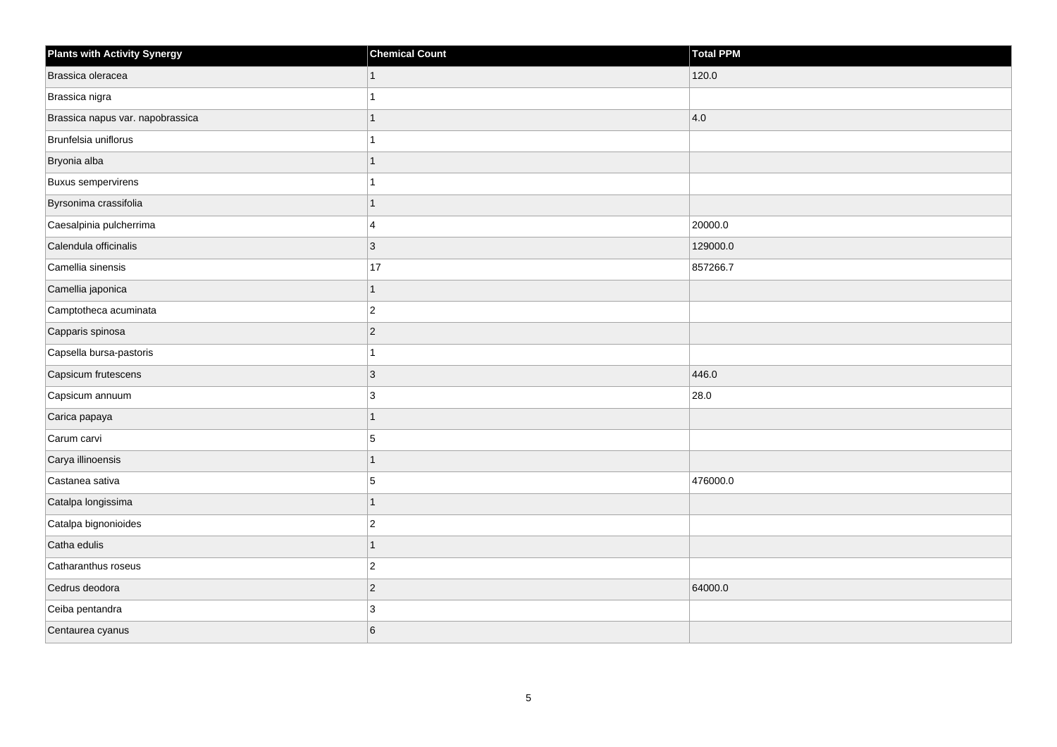| <b>Plants with Activity Synergy</b> | <b>Chemical Count</b> | Total PPM |
|-------------------------------------|-----------------------|-----------|
| Brassica oleracea                   | 1                     | 120.0     |
| Brassica nigra                      |                       |           |
| Brassica napus var. napobrassica    | 1                     | 4.0       |
| Brunfelsia uniflorus                | 1                     |           |
| Bryonia alba                        | 1                     |           |
| <b>Buxus sempervirens</b>           | 1                     |           |
| Byrsonima crassifolia               | 1                     |           |
| Caesalpinia pulcherrima             | 4                     | 20000.0   |
| Calendula officinalis               | 3                     | 129000.0  |
| Camellia sinensis                   | 17                    | 857266.7  |
| Camellia japonica                   | 1                     |           |
| Camptotheca acuminata               | $ 2\rangle$           |           |
| Capparis spinosa                    | $\vert$ 2             |           |
| Capsella bursa-pastoris             | 1                     |           |
| Capsicum frutescens                 | 3                     | 446.0     |
| Capsicum annuum                     | $\mathbf{3}$          | 28.0      |
| Carica papaya                       | 1                     |           |
| Carum carvi                         | 5                     |           |
| Carya illinoensis                   | $\mathbf{1}$          |           |
| Castanea sativa                     | 5                     | 476000.0  |
| Catalpa longissima                  | $\mathbf{1}$          |           |
| Catalpa bignonioides                | $\vert$ 2             |           |
| Catha edulis                        | 1                     |           |
| Catharanthus roseus                 | $\overline{c}$        |           |
| Cedrus deodora                      | $\vert$ 2             | 64000.0   |
| Ceiba pentandra                     | 3                     |           |
| Centaurea cyanus                    | 6                     |           |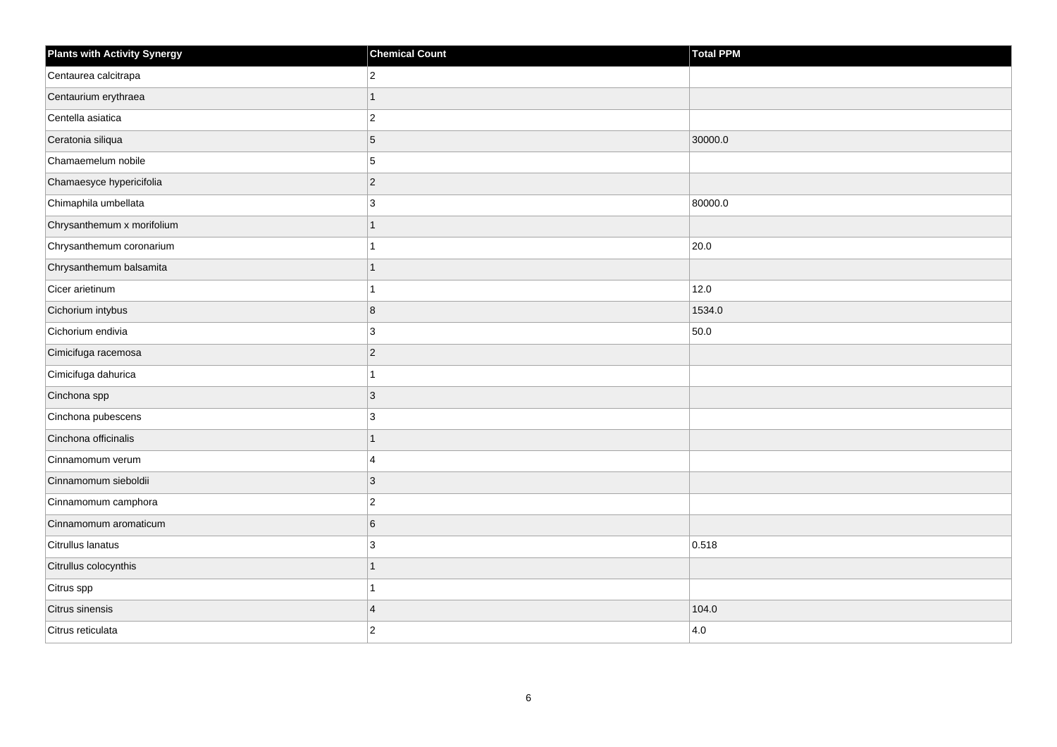| <b>Plants with Activity Synergy</b> | <b>Chemical Count</b> | <b>Total PPM</b> |
|-------------------------------------|-----------------------|------------------|
| Centaurea calcitrapa                | $\overline{2}$        |                  |
| Centaurium erythraea                | 1                     |                  |
| Centella asiatica                   | $\overline{c}$        |                  |
| Ceratonia siliqua                   | 5                     | 30000.0          |
| Chamaemelum nobile                  | 5                     |                  |
| Chamaesyce hypericifolia            | $\overline{c}$        |                  |
| Chimaphila umbellata                | 3                     | 80000.0          |
| Chrysanthemum x morifolium          | 1                     |                  |
| Chrysanthemum coronarium            | $\overline{1}$        | 20.0             |
| Chrysanthemum balsamita             | $\overline{1}$        |                  |
| Cicer arietinum                     | 1                     | 12.0             |
| Cichorium intybus                   | 8                     | 1534.0           |
| Cichorium endivia                   | 3                     | 50.0             |
| Cimicifuga racemosa                 | $\overline{2}$        |                  |
| Cimicifuga dahurica                 | 1                     |                  |
| Cinchona spp                        | 3                     |                  |
| Cinchona pubescens                  | 3                     |                  |
| Cinchona officinalis                | $\overline{1}$        |                  |
| Cinnamomum verum                    | 4                     |                  |
| Cinnamomum sieboldii                | 3                     |                  |
| Cinnamomum camphora                 | $\boldsymbol{2}$      |                  |
| Cinnamomum aromaticum               | 6                     |                  |
| Citrullus lanatus                   | 3                     | 0.518            |
| Citrullus colocynthis               | 1                     |                  |
| Citrus spp                          | 1                     |                  |
| Citrus sinensis                     | $\overline{4}$        | 104.0            |
| Citrus reticulata                   | $\overline{2}$        | 4.0              |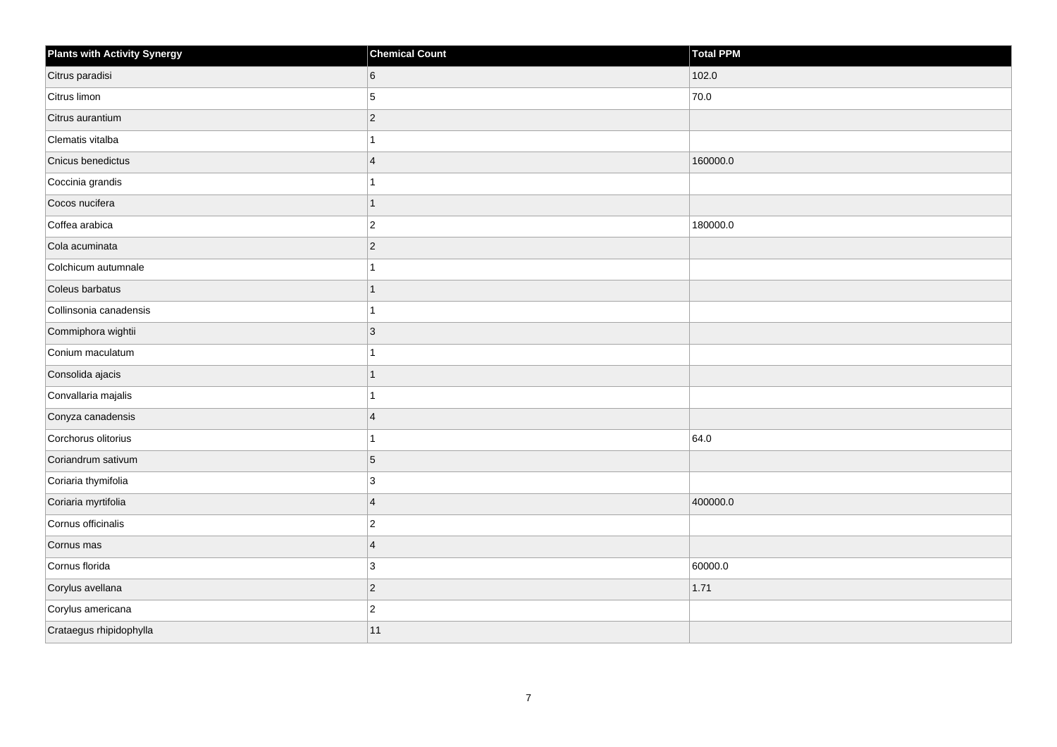| <b>Plants with Activity Synergy</b> | <b>Chemical Count</b>   | <b>Total PPM</b> |
|-------------------------------------|-------------------------|------------------|
| Citrus paradisi                     | 6                       | 102.0            |
| Citrus limon                        | 5                       | 70.0             |
| Citrus aurantium                    | $ 2\rangle$             |                  |
| Clematis vitalba                    | $\mathbf{1}$            |                  |
| Cnicus benedictus                   | $\overline{4}$          | 160000.0         |
| Coccinia grandis                    | 1                       |                  |
| Cocos nucifera                      | $\mathbf{1}$            |                  |
| Coffea arabica                      | $ 2\rangle$             | 180000.0         |
| Cola acuminata                      | $ 2\rangle$             |                  |
| Colchicum autumnale                 | 1                       |                  |
| Coleus barbatus                     | 1                       |                  |
| Collinsonia canadensis              | 1                       |                  |
| Commiphora wightii                  | $ 3\rangle$             |                  |
| Conium maculatum                    | 1                       |                  |
| Consolida ajacis                    | $\overline{1}$          |                  |
| Convallaria majalis                 | 1                       |                  |
| Conyza canadensis                   | $\overline{\mathbf{4}}$ |                  |
| Corchorus olitorius                 | $\mathbf{1}$            | 64.0             |
| Coriandrum sativum                  | $\overline{5}$          |                  |
| Coriaria thymifolia                 | 3                       |                  |
| Coriaria myrtifolia                 | $\vert 4 \vert$         | 400000.0         |
| Cornus officinalis                  | $ 2\rangle$             |                  |
| Cornus mas                          | $\overline{4}$          |                  |
| Cornus florida                      | 3                       | 60000.0          |
| Corylus avellana                    | $ 2\rangle$             | 1.71             |
| Corylus americana                   | $ 2\rangle$             |                  |
| Crataegus rhipidophylla             | 11                      |                  |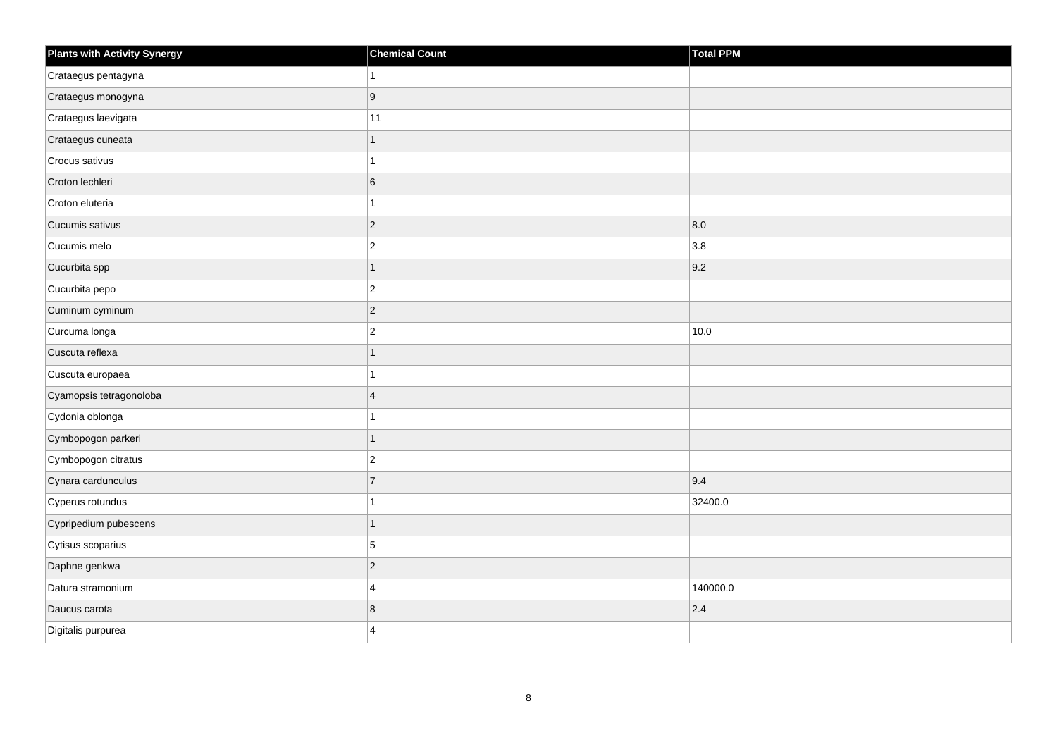| <b>Plants with Activity Synergy</b> | <b>Chemical Count</b> | Total PPM |
|-------------------------------------|-----------------------|-----------|
| Crataegus pentagyna                 |                       |           |
| Crataegus monogyna                  | 9                     |           |
| Crataegus laevigata                 | 11                    |           |
| Crataegus cuneata                   | $\mathbf{1}$          |           |
| Crocus sativus                      |                       |           |
| Croton lechleri                     | 6                     |           |
| Croton eluteria                     | 1                     |           |
| Cucumis sativus                     | $\overline{2}$        | 8.0       |
| Cucumis melo                        | $\overline{c}$        | 3.8       |
| Cucurbita spp                       | $\overline{1}$        | 9.2       |
| Cucurbita pepo                      | $\overline{2}$        |           |
| Cuminum cyminum                     | $\overline{c}$        |           |
| Curcuma longa                       | $\overline{c}$        | 10.0      |
| Cuscuta reflexa                     | 1                     |           |
| Cuscuta europaea                    |                       |           |
| Cyamopsis tetragonoloba             | $\overline{4}$        |           |
| Cydonia oblonga                     |                       |           |
| Cymbopogon parkeri                  | 1                     |           |
| Cymbopogon citratus                 | $\overline{2}$        |           |
| Cynara cardunculus                  | $\overline{7}$        | 9.4       |
| Cyperus rotundus                    |                       | 32400.0   |
| Cypripedium pubescens               | 1                     |           |
| Cytisus scoparius                   | 5                     |           |
| Daphne genkwa                       | $\overline{2}$        |           |
| Datura stramonium                   | 4                     | 140000.0  |
| Daucus carota                       | 8                     | 2.4       |
| Digitalis purpurea                  | 4                     |           |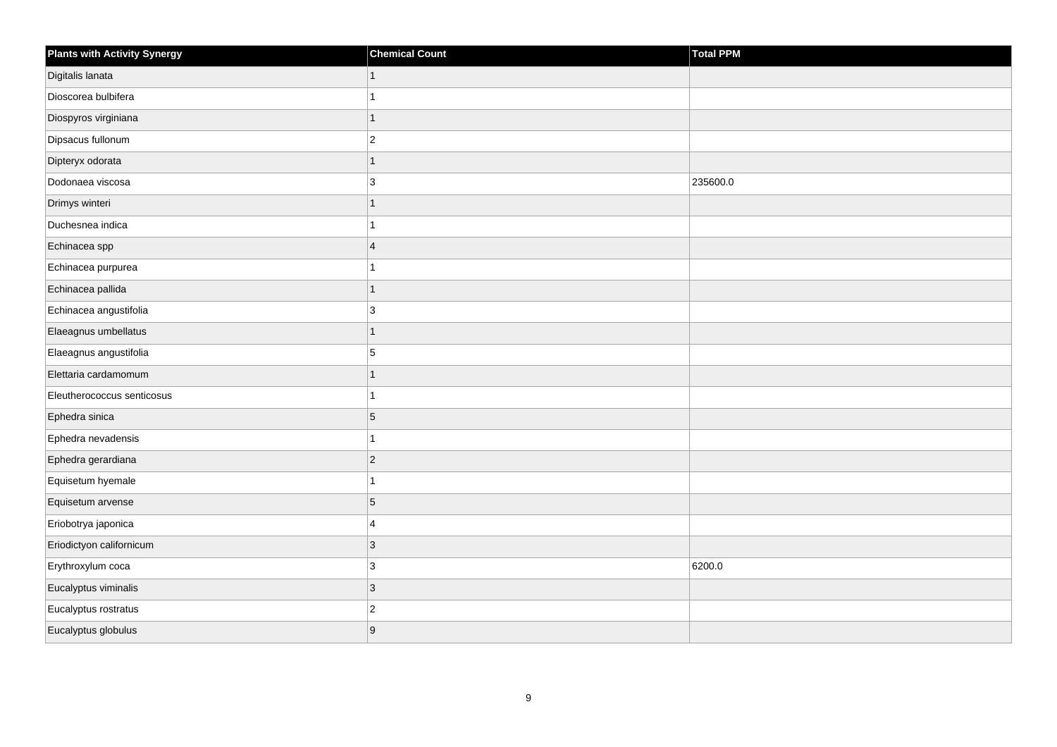| <b>Plants with Activity Synergy</b> | <b>Chemical Count</b> | <b>Total PPM</b> |
|-------------------------------------|-----------------------|------------------|
| Digitalis lanata                    | $\mathbf{1}$          |                  |
| Dioscorea bulbifera                 |                       |                  |
| Diospyros virginiana                | $\overline{1}$        |                  |
| Dipsacus fullonum                   | $\overline{2}$        |                  |
| Dipteryx odorata                    | 1                     |                  |
| Dodonaea viscosa                    | 3                     | 235600.0         |
| Drimys winteri                      | $\mathbf{1}$          |                  |
| Duchesnea indica                    |                       |                  |
| Echinacea spp                       | $\overline{4}$        |                  |
| Echinacea purpurea                  | 1                     |                  |
| Echinacea pallida                   | 1                     |                  |
| Echinacea angustifolia              | 3                     |                  |
| Elaeagnus umbellatus                | $\mathbf{1}$          |                  |
| Elaeagnus angustifolia              | 5                     |                  |
| Elettaria cardamomum                | 1                     |                  |
| Eleutherococcus senticosus          | 1                     |                  |
| Ephedra sinica                      | 5                     |                  |
| Ephedra nevadensis                  | 1                     |                  |
| Ephedra gerardiana                  | $\overline{c}$        |                  |
| Equisetum hyemale                   | 1                     |                  |
| Equisetum arvense                   | 5                     |                  |
| Eriobotrya japonica                 | 4                     |                  |
| Eriodictyon californicum            | 3                     |                  |
| Erythroxylum coca                   | 3                     | 6200.0           |
| Eucalyptus viminalis                | $\mathbf{3}$          |                  |
| Eucalyptus rostratus                | $\overline{c}$        |                  |
| Eucalyptus globulus                 | 9                     |                  |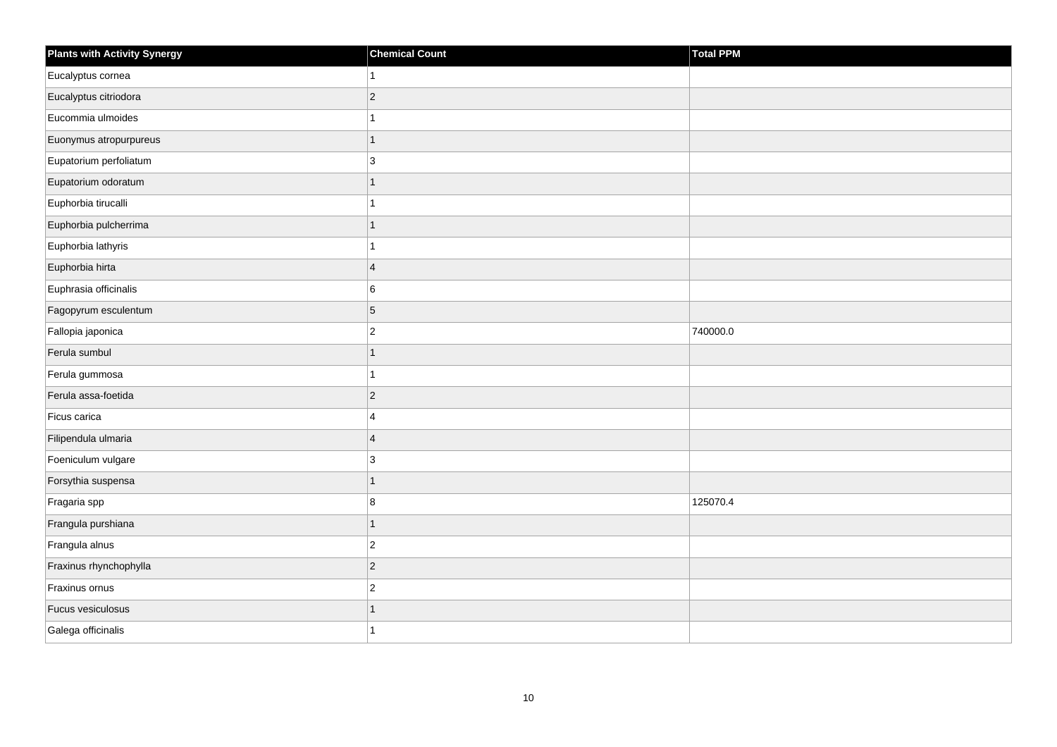| <b>Plants with Activity Synergy</b> | <b>Chemical Count</b> | Total PPM |
|-------------------------------------|-----------------------|-----------|
| Eucalyptus cornea                   | $\mathbf{1}$          |           |
| Eucalyptus citriodora               | $\mathbf 2$           |           |
| Eucommia ulmoides                   | $\mathbf{1}$          |           |
| Euonymus atropurpureus              | $\mathbf{1}$          |           |
| Eupatorium perfoliatum              | 3                     |           |
| Eupatorium odoratum                 | $\mathbf{1}$          |           |
| Euphorbia tirucalli                 | $\mathbf{1}$          |           |
| Euphorbia pulcherrima               | $\mathbf{1}$          |           |
| Euphorbia lathyris                  | $\mathbf{1}$          |           |
| Euphorbia hirta                     | $\overline{4}$        |           |
| Euphrasia officinalis               | 6                     |           |
| Fagopyrum esculentum                | $\overline{5}$        |           |
| Fallopia japonica                   | $\vert$ 2             | 740000.0  |
| Ferula sumbul                       | $\mathbf{1}$          |           |
| Ferula gummosa                      | $\mathbf{1}$          |           |
| Ferula assa-foetida                 | $\vert$ 2             |           |
| Ficus carica                        | $\overline{4}$        |           |
| Filipendula ulmaria                 | $\overline{4}$        |           |
| Foeniculum vulgare                  | 3                     |           |
| Forsythia suspensa                  | $\mathbf{1}$          |           |
| Fragaria spp                        | 8                     | 125070.4  |
| Frangula purshiana                  | $\mathbf{1}$          |           |
| Frangula alnus                      | $\mathbf 2$           |           |
| Fraxinus rhynchophylla              | $\vert$ 2             |           |
| Fraxinus ornus                      | $\mathbf 2$           |           |
| Fucus vesiculosus                   | $\mathbf{1}$          |           |
| Galega officinalis                  | $\overline{1}$        |           |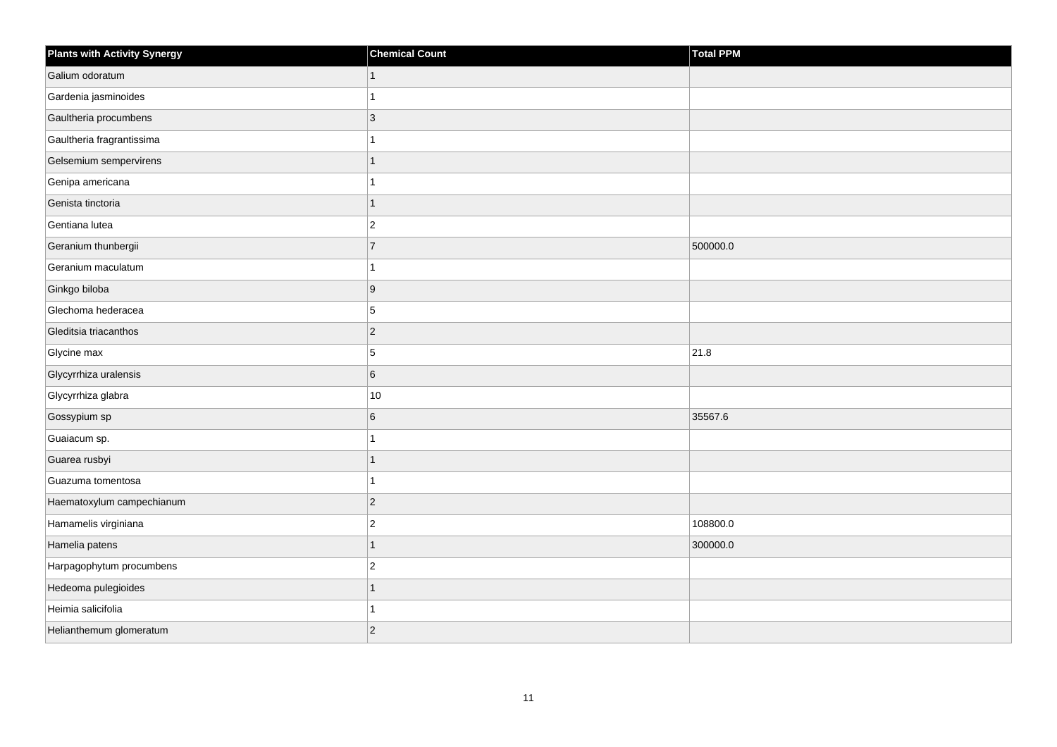| <b>Plants with Activity Synergy</b> | <b>Chemical Count</b> | Total PPM |
|-------------------------------------|-----------------------|-----------|
| Galium odoratum                     | $\mathbf{1}$          |           |
| Gardenia jasminoides                | 1                     |           |
| Gaultheria procumbens               | $ 3\rangle$           |           |
| Gaultheria fragrantissima           | 1                     |           |
| Gelsemium sempervirens              | $\mathbf{1}$          |           |
| Genipa americana                    | 1                     |           |
| Genista tinctoria                   | $\mathbf{1}$          |           |
| Gentiana lutea                      | $ 2\rangle$           |           |
| Geranium thunbergii                 | $\overline{7}$        | 500000.0  |
| Geranium maculatum                  | 1                     |           |
| Ginkgo biloba                       | 9                     |           |
| Glechoma hederacea                  | 5                     |           |
| Gleditsia triacanthos               | $ 2\rangle$           |           |
| Glycine max                         | 5                     | 21.8      |
| Glycyrrhiza uralensis               | 6                     |           |
| Glycyrrhiza glabra                  | 10                    |           |
| Gossypium sp                        | 6                     | 35567.6   |
| Guaiacum sp.                        | $\mathbf{1}$          |           |
| Guarea rusbyi                       | $\mathbf{1}$          |           |
| Guazuma tomentosa                   | 1                     |           |
| Haematoxylum campechianum           | $ 2\rangle$           |           |
| Hamamelis virginiana                | $\vert$ 2             | 108800.0  |
| Hamelia patens                      | 1                     | 300000.0  |
| Harpagophytum procumbens            | $ 2\rangle$           |           |
| Hedeoma pulegioides                 | 1                     |           |
| Heimia salicifolia                  | 1                     |           |
| Helianthemum glomeratum             | $\overline{2}$        |           |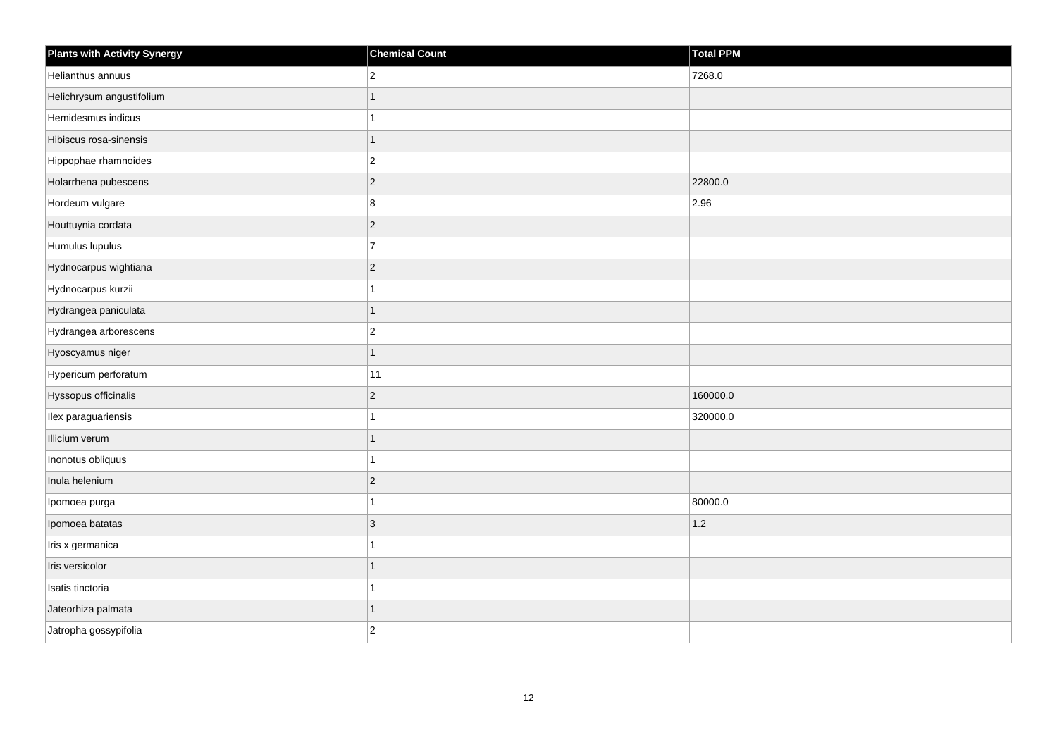| <b>Plants with Activity Synergy</b> | <b>Chemical Count</b> | <b>Total PPM</b> |
|-------------------------------------|-----------------------|------------------|
| Helianthus annuus                   | $\overline{2}$        | 7268.0           |
| Helichrysum angustifolium           | $\mathbf{1}$          |                  |
| Hemidesmus indicus                  | 1                     |                  |
| Hibiscus rosa-sinensis              | $\mathbf{1}$          |                  |
| Hippophae rhamnoides                | $ 2\rangle$           |                  |
| Holarrhena pubescens                | $ 2\rangle$           | 22800.0          |
| Hordeum vulgare                     | 8                     | 2.96             |
| Houttuynia cordata                  | $ 2\rangle$           |                  |
| Humulus lupulus                     | $\overline{7}$        |                  |
| Hydnocarpus wightiana               | $ 2\rangle$           |                  |
| Hydnocarpus kurzii                  | 1                     |                  |
| Hydrangea paniculata                | $\mathbf{1}$          |                  |
| Hydrangea arborescens               | $\vert$ 2             |                  |
| Hyoscyamus niger                    | $\mathbf{1}$          |                  |
| Hypericum perforatum                | 11                    |                  |
| Hyssopus officinalis                | $ 2\rangle$           | 160000.0         |
| Ilex paraguariensis                 | 1                     | 320000.0         |
| Illicium verum                      | $\mathbf{1}$          |                  |
| Inonotus obliquus                   | $\mathbf{1}$          |                  |
| Inula helenium                      | $ 2\rangle$           |                  |
| Ipomoea purga                       | 1                     | 80000.0          |
| Ipomoea batatas                     | $ 3\rangle$           | $1.2$            |
| Iris x germanica                    | 1                     |                  |
| Iris versicolor                     | $\mathbf{1}$          |                  |
| Isatis tinctoria                    | $\mathbf{1}$          |                  |
| Jateorhiza palmata                  | 1                     |                  |
| Jatropha gossypifolia               | $\vert$ 2             |                  |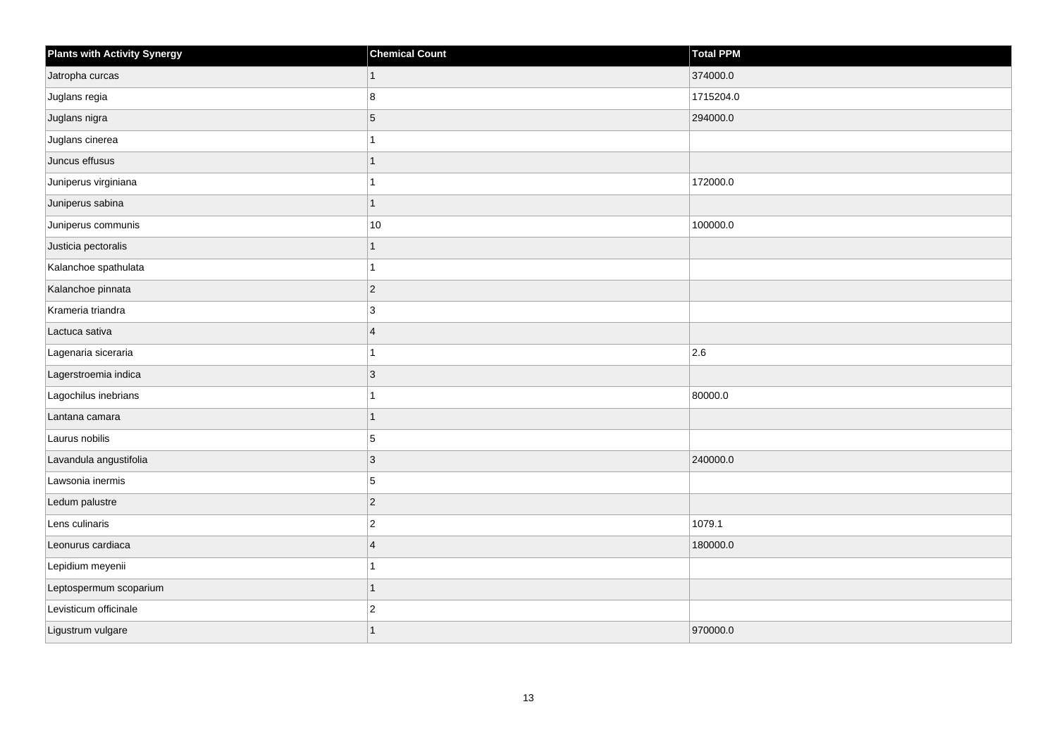| <b>Plants with Activity Synergy</b> | <b>Chemical Count</b> | Total PPM |
|-------------------------------------|-----------------------|-----------|
| Jatropha curcas                     | $\mathbf{1}$          | 374000.0  |
| Juglans regia                       | 8                     | 1715204.0 |
| Juglans nigra                       | $\vert 5 \vert$       | 294000.0  |
| Juglans cinerea                     | 1                     |           |
| Juncus effusus                      | 1                     |           |
| Juniperus virginiana                | 1                     | 172000.0  |
| Juniperus sabina                    | $\mathbf{1}$          |           |
| Juniperus communis                  | $10\,$                | 100000.0  |
| Justicia pectoralis                 | 1                     |           |
| Kalanchoe spathulata                | 1                     |           |
| Kalanchoe pinnata                   | $ 2\rangle$           |           |
| Krameria triandra                   | 3                     |           |
| Lactuca sativa                      | $\overline{4}$        |           |
| Lagenaria siceraria                 | 1                     | 2.6       |
| Lagerstroemia indica                | 3                     |           |
| Lagochilus inebrians                | 1                     | 80000.0   |
| Lantana camara                      | 1                     |           |
| Laurus nobilis                      | 5                     |           |
| Lavandula angustifolia              | $ 3\rangle$           | 240000.0  |
| Lawsonia inermis                    | 5                     |           |
| Ledum palustre                      | $ 2\rangle$           |           |
| Lens culinaris                      | $ 2\rangle$           | 1079.1    |
| Leonurus cardiaca                   | $\overline{4}$        | 180000.0  |
| Lepidium meyenii                    | 1                     |           |
| Leptospermum scoparium              | $\mathbf{1}$          |           |
| Levisticum officinale               | $\overline{2}$        |           |
| Ligustrum vulgare                   | 1                     | 970000.0  |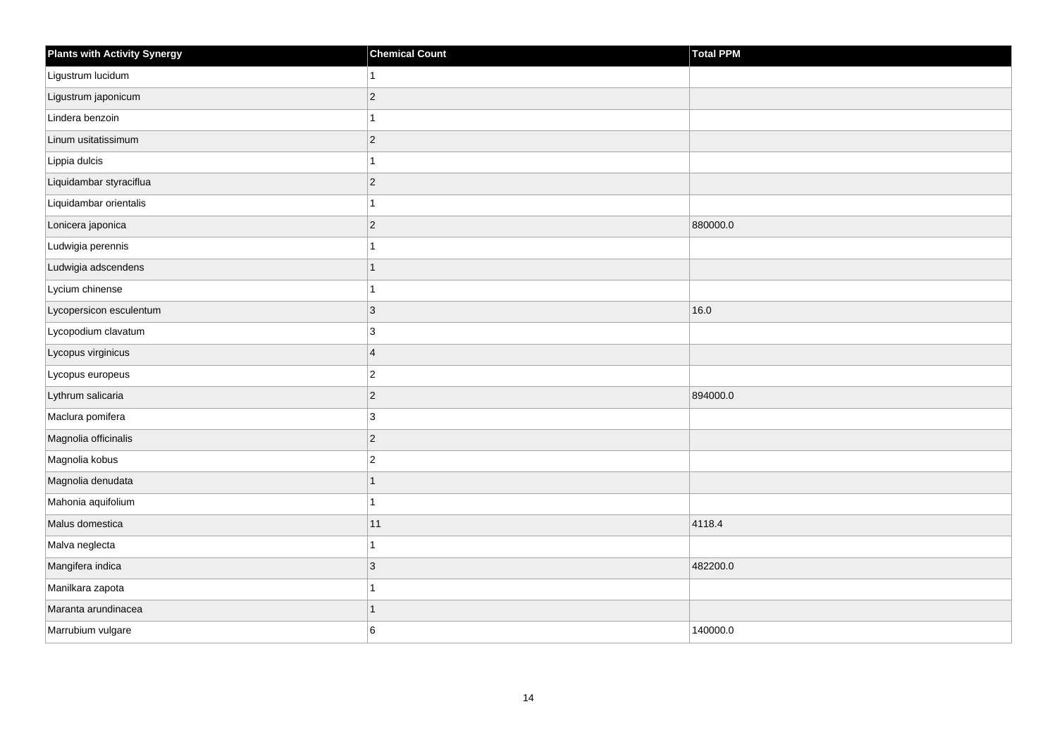| <b>Plants with Activity Synergy</b> | <b>Chemical Count</b> | Total PPM |
|-------------------------------------|-----------------------|-----------|
| Ligustrum lucidum                   | 1                     |           |
| Ligustrum japonicum                 | $ 2\rangle$           |           |
| Lindera benzoin                     | $\mathbf{1}$          |           |
| Linum usitatissimum                 | $ 2\rangle$           |           |
| Lippia dulcis                       | 1                     |           |
| Liquidambar styraciflua             | $ 2\rangle$           |           |
| Liquidambar orientalis              | 1                     |           |
| Lonicera japonica                   | $ 2\rangle$           | 880000.0  |
| Ludwigia perennis                   | $\mathbf{1}$          |           |
| Ludwigia adscendens                 | $\mathbf{1}$          |           |
| Lycium chinense                     | 1                     |           |
| Lycopersicon esculentum             | 3                     | 16.0      |
| Lycopodium clavatum                 | $ 3\rangle$           |           |
| Lycopus virginicus                  | $\overline{4}$        |           |
| Lycopus europeus                    | $ 2\rangle$           |           |
| Lythrum salicaria                   | $ 2\rangle$           | 894000.0  |
| Maclura pomifera                    | 3                     |           |
| Magnolia officinalis                | $ 2\rangle$           |           |
| Magnolia kobus                      | $\vert$ <sub>2</sub>  |           |
| Magnolia denudata                   | 1                     |           |
| Mahonia aquifolium                  | $\mathbf{1}$          |           |
| Malus domestica                     | 11                    | 4118.4    |
| Malva neglecta                      | 1                     |           |
| Mangifera indica                    | 3                     | 482200.0  |
| Manilkara zapota                    | 1                     |           |
| Maranta arundinacea                 | 1                     |           |
| Marrubium vulgare                   | 6                     | 140000.0  |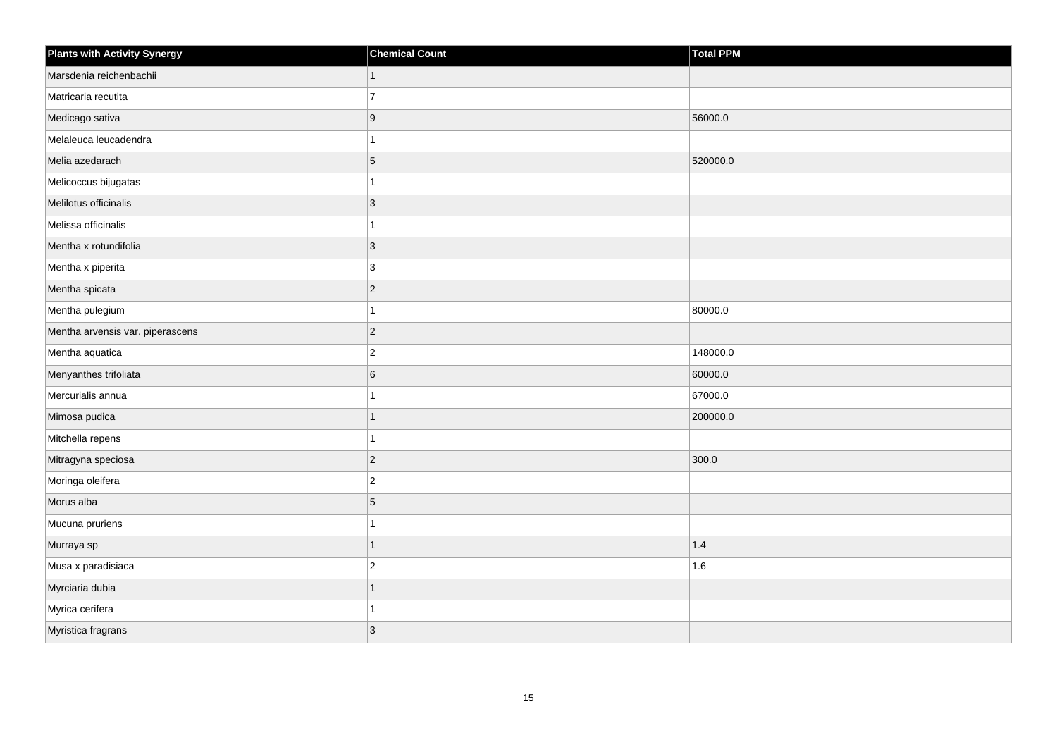| <b>Plants with Activity Synergy</b> | <b>Chemical Count</b> | <b>Total PPM</b> |
|-------------------------------------|-----------------------|------------------|
| Marsdenia reichenbachii             | 1                     |                  |
| Matricaria recutita                 | $\overline{7}$        |                  |
| Medicago sativa                     | 9                     | 56000.0          |
| Melaleuca leucadendra               |                       |                  |
| Melia azedarach                     | 5                     | 520000.0         |
| Melicoccus bijugatas                |                       |                  |
| Melilotus officinalis               | 3                     |                  |
| Melissa officinalis                 |                       |                  |
| Mentha x rotundifolia               | $\overline{3}$        |                  |
| Mentha x piperita                   | 3                     |                  |
| Mentha spicata                      | $\overline{2}$        |                  |
| Mentha pulegium                     |                       | 80000.0          |
| Mentha arvensis var. piperascens    | $\overline{2}$        |                  |
| Mentha aquatica                     | $\overline{2}$        | 148000.0         |
| Menyanthes trifoliata               | 6                     | 60000.0          |
| Mercurialis annua                   |                       | 67000.0          |
| Mimosa pudica                       |                       | 200000.0         |
| Mitchella repens                    |                       |                  |
| Mitragyna speciosa                  | $\overline{2}$        | 300.0            |
| Moringa oleifera                    | $\overline{c}$        |                  |
| Morus alba                          | 5                     |                  |
| Mucuna pruriens                     |                       |                  |
| Murraya sp                          | 1                     | 1.4              |
| Musa x paradisiaca                  | $\overline{2}$        | 1.6              |
| Myrciaria dubia                     | 1                     |                  |
| Myrica cerifera                     |                       |                  |
| Myristica fragrans                  | $\mathbf{3}$          |                  |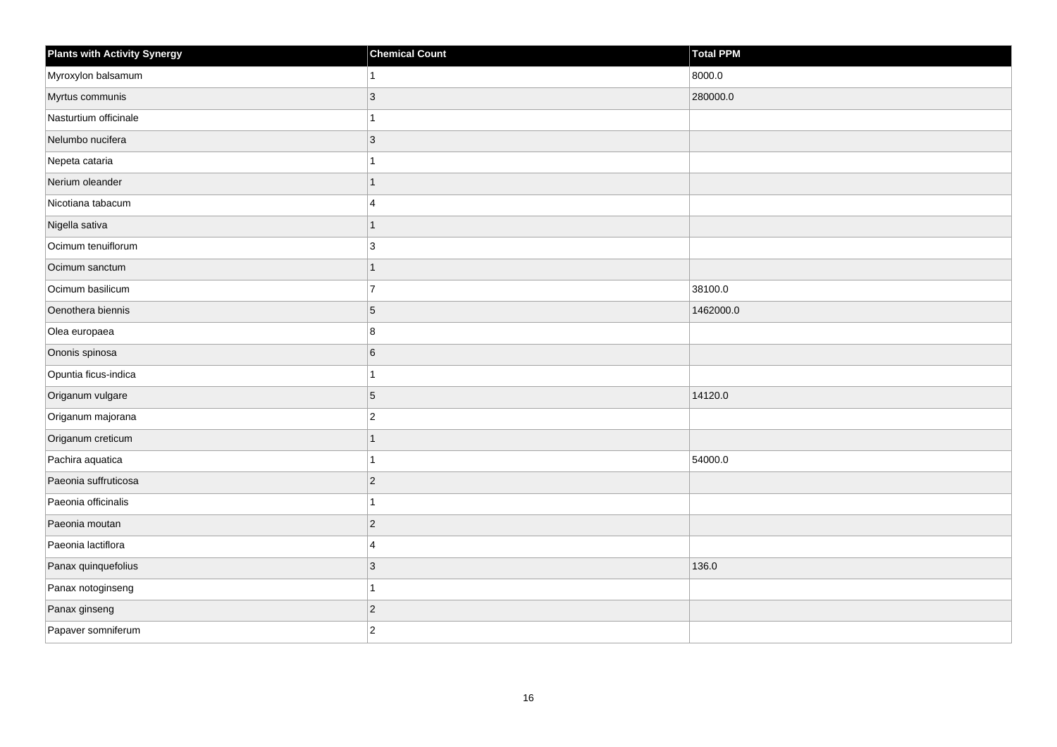| <b>Plants with Activity Synergy</b> | <b>Chemical Count</b>   | <b>Total PPM</b> |
|-------------------------------------|-------------------------|------------------|
| Myroxylon balsamum                  | $\mathbf{1}$            | 8000.0           |
| Myrtus communis                     | 3                       | 280000.0         |
| Nasturtium officinale               | $\mathbf{1}$            |                  |
| Nelumbo nucifera                    | $ 3\rangle$             |                  |
| Nepeta cataria                      | 1                       |                  |
| Nerium oleander                     | $\overline{1}$          |                  |
| Nicotiana tabacum                   | $\overline{4}$          |                  |
| Nigella sativa                      | 1                       |                  |
| Ocimum tenuiflorum                  | 3                       |                  |
| Ocimum sanctum                      | $\overline{1}$          |                  |
| Ocimum basilicum                    | $\overline{7}$          | 38100.0          |
| Oenothera biennis                   | 5                       | 1462000.0        |
| Olea europaea                       | 8                       |                  |
| Ononis spinosa                      | 6                       |                  |
| Opuntia ficus-indica                | $\mathbf{1}$            |                  |
| Origanum vulgare                    | $\vert 5 \vert$         | 14120.0          |
| Origanum majorana                   | $\overline{2}$          |                  |
| Origanum creticum                   | $\mathbf{1}$            |                  |
| Pachira aquatica                    | $\mathbf{1}$            | 54000.0          |
| Paeonia suffruticosa                | $ 2\rangle$             |                  |
| Paeonia officinalis                 | 1                       |                  |
| Paeonia moutan                      | $ 2\rangle$             |                  |
| Paeonia lactiflora                  | $\overline{\mathbf{4}}$ |                  |
| Panax quinquefolius                 | 3                       | 136.0            |
| Panax notoginseng                   | $\mathbf{1}$            |                  |
| Panax ginseng                       | $ 2\rangle$             |                  |
| Papaver somniferum                  | $ 2\rangle$             |                  |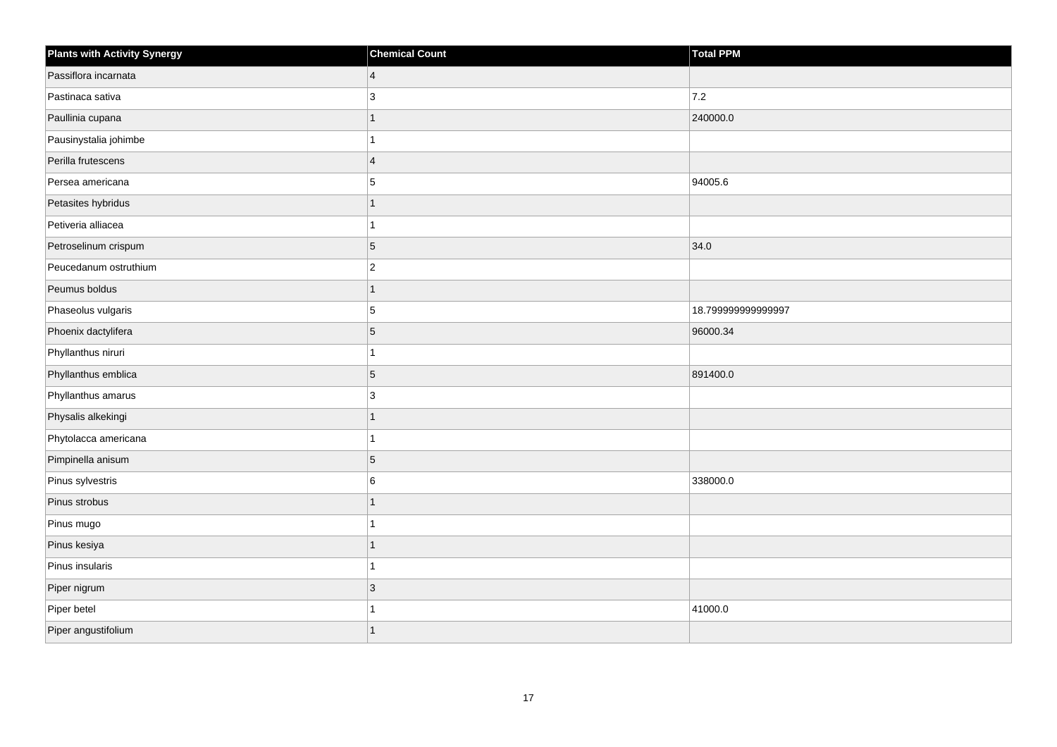| <b>Plants with Activity Synergy</b> | <b>Chemical Count</b>   | <b>Total PPM</b>   |
|-------------------------------------|-------------------------|--------------------|
| Passiflora incarnata                | $\overline{4}$          |                    |
| Pastinaca sativa                    | 3                       | 7.2                |
| Paullinia cupana                    |                         | 240000.0           |
| Pausinystalia johimbe               |                         |                    |
| Perilla frutescens                  | $\overline{\mathbf{A}}$ |                    |
| Persea americana                    | 5                       | 94005.6            |
| Petasites hybridus                  | 1                       |                    |
| Petiveria alliacea                  |                         |                    |
| Petroselinum crispum                | 5                       | 34.0               |
| Peucedanum ostruthium               | $\overline{2}$          |                    |
| Peumus boldus                       |                         |                    |
| Phaseolus vulgaris                  | 5                       | 18.799999999999997 |
| Phoenix dactylifera                 | 5                       | 96000.34           |
| Phyllanthus niruri                  |                         |                    |
| Phyllanthus emblica                 | 5                       | 891400.0           |
| Phyllanthus amarus                  | 3                       |                    |
| Physalis alkekingi                  |                         |                    |
| Phytolacca americana                |                         |                    |
| Pimpinella anisum                   | 5                       |                    |
| Pinus sylvestris                    | 6                       | 338000.0           |
| Pinus strobus                       |                         |                    |
| Pinus mugo                          | 1                       |                    |
| Pinus kesiya                        |                         |                    |
| Pinus insularis                     |                         |                    |
| Piper nigrum                        | 3                       |                    |
| Piper betel                         |                         | 41000.0            |
| Piper angustifolium                 |                         |                    |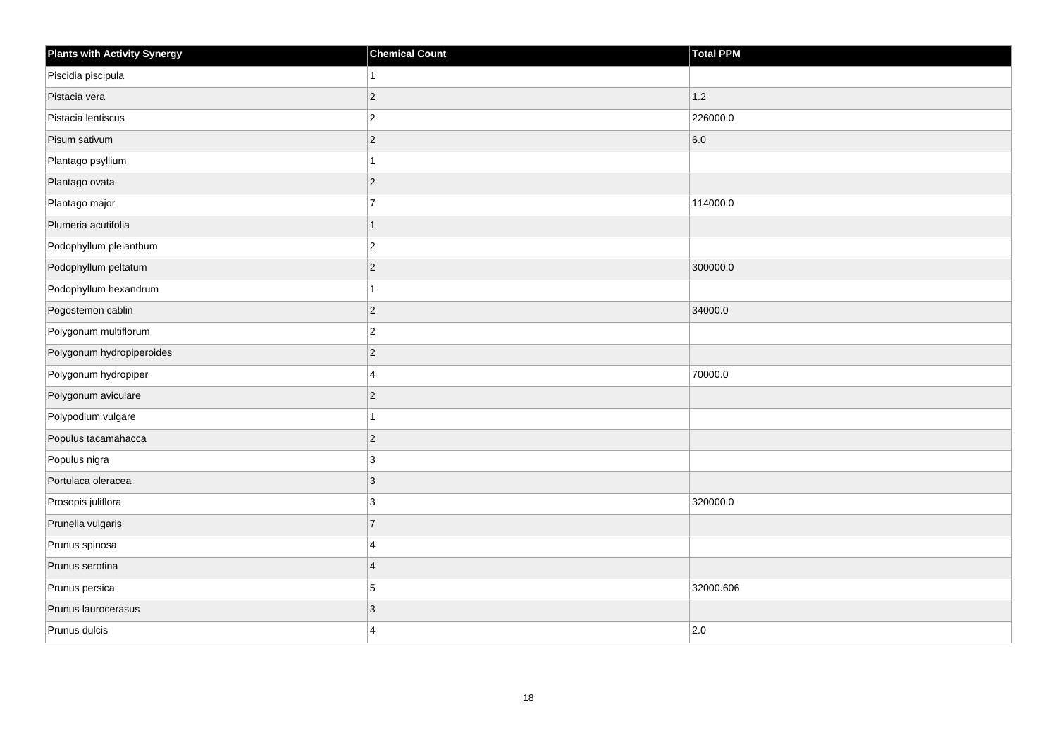| <b>Plants with Activity Synergy</b> | <b>Chemical Count</b> | <b>Total PPM</b> |
|-------------------------------------|-----------------------|------------------|
| Piscidia piscipula                  | 1                     |                  |
| Pistacia vera                       | $\overline{c}$        | 1.2              |
| Pistacia lentiscus                  | $\overline{c}$        | 226000.0         |
| Pisum sativum                       | $\overline{c}$        | 6.0              |
| Plantago psyllium                   | 1                     |                  |
| Plantago ovata                      | $\overline{c}$        |                  |
| Plantago major                      | $\overline{7}$        | 114000.0         |
| Plumeria acutifolia                 | $\overline{1}$        |                  |
| Podophyllum pleianthum              | $\overline{c}$        |                  |
| Podophyllum peltatum                | $\overline{2}$        | 300000.0         |
| Podophyllum hexandrum               | 1                     |                  |
| Pogostemon cablin                   | $\overline{c}$        | 34000.0          |
| Polygonum multiflorum               | $\boldsymbol{2}$      |                  |
| Polygonum hydropiperoides           | $\overline{c}$        |                  |
| Polygonum hydropiper                | 4                     | 70000.0          |
| Polygonum aviculare                 | $\overline{c}$        |                  |
| Polypodium vulgare                  | 1                     |                  |
| Populus tacamahacca                 | $\overline{c}$        |                  |
| Populus nigra                       | 3                     |                  |
| Portulaca oleracea                  | 3                     |                  |
| Prosopis juliflora                  | 3                     | 320000.0         |
| Prunella vulgaris                   | $\overline{7}$        |                  |
| Prunus spinosa                      | 4                     |                  |
| Prunus serotina                     | $\overline{4}$        |                  |
| Prunus persica                      | 5                     | 32000.606        |
| Prunus laurocerasus                 | 3                     |                  |
| Prunus dulcis                       | $\Delta$              | 2.0              |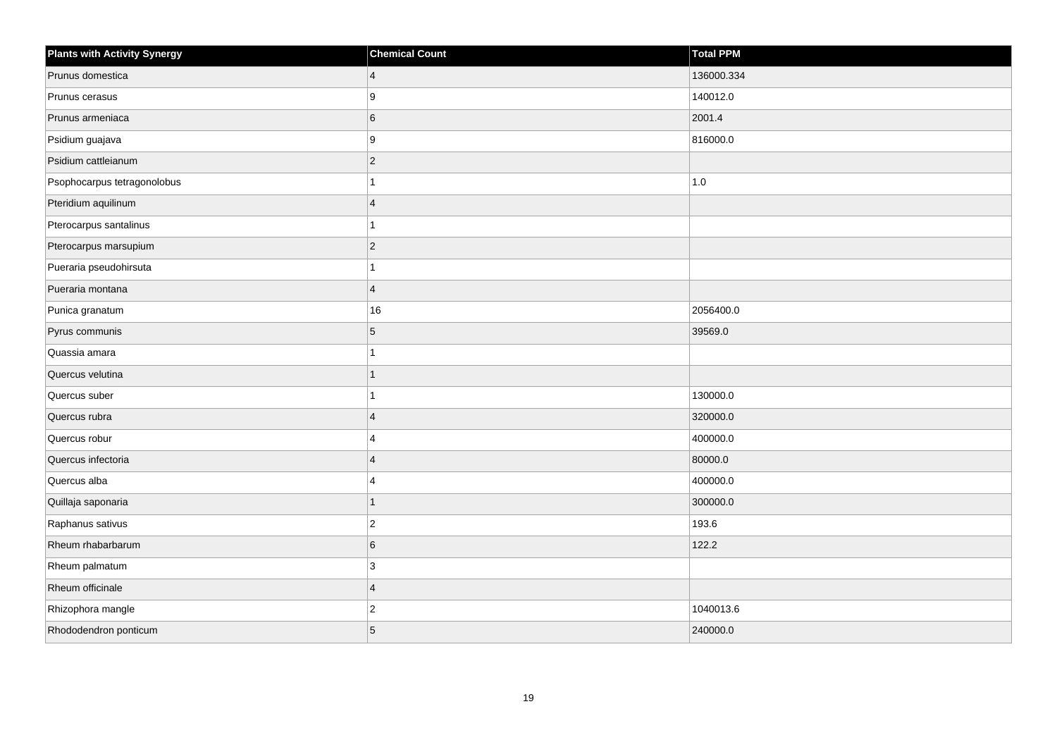| <b>Plants with Activity Synergy</b> | <b>Chemical Count</b>   | Total PPM  |
|-------------------------------------|-------------------------|------------|
| Prunus domestica                    | $\overline{4}$          | 136000.334 |
| Prunus cerasus                      | 9                       | 140012.0   |
| Prunus armeniaca                    | 6                       | 2001.4     |
| Psidium guajava                     | 9                       | 816000.0   |
| Psidium cattleianum                 | $\overline{c}$          |            |
| Psophocarpus tetragonolobus         |                         | 1.0        |
| Pteridium aquilinum                 | $\overline{\mathbf{A}}$ |            |
| Pterocarpus santalinus              |                         |            |
| Pterocarpus marsupium               | $\overline{2}$          |            |
| Pueraria pseudohirsuta              |                         |            |
| Pueraria montana                    | $\overline{4}$          |            |
| Punica granatum                     | 16                      | 2056400.0  |
| Pyrus communis                      | 5                       | 39569.0    |
| Quassia amara                       |                         |            |
| Quercus velutina                    |                         |            |
| Quercus suber                       |                         | 130000.0   |
| Quercus rubra                       | $\overline{\mathbf{A}}$ | 320000.0   |
| Quercus robur                       | 4                       | 400000.0   |
| Quercus infectoria                  | $\overline{4}$          | 80000.0    |
| Quercus alba                        | $\boldsymbol{\Delta}$   | 400000.0   |
| Quillaja saponaria                  |                         | 300000.0   |
| Raphanus sativus                    | $\overline{c}$          | 193.6      |
| Rheum rhabarbarum                   | 6                       | 122.2      |
| Rheum palmatum                      | 3                       |            |
| Rheum officinale                    | $\overline{4}$          |            |
| Rhizophora mangle                   | $\overline{c}$          | 1040013.6  |
| Rhododendron ponticum               | 5                       | 240000.0   |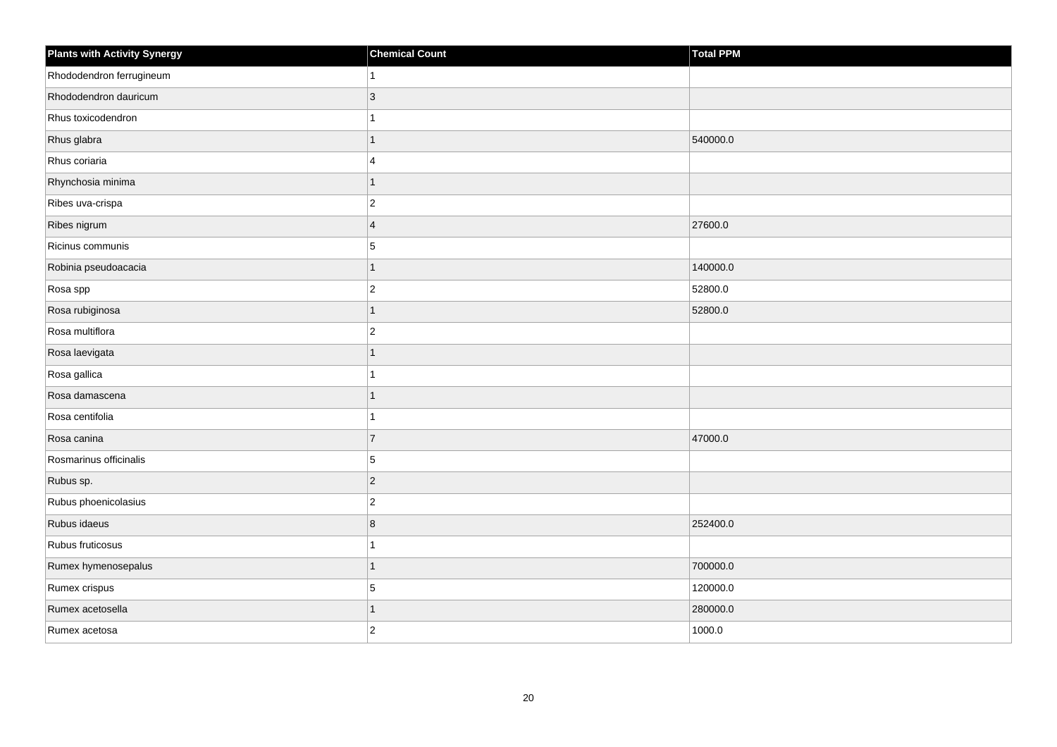| <b>Plants with Activity Synergy</b> | <b>Chemical Count</b> | <b>Total PPM</b> |
|-------------------------------------|-----------------------|------------------|
| Rhododendron ferrugineum            | 1                     |                  |
| Rhododendron dauricum               | 3                     |                  |
| Rhus toxicodendron                  | 1                     |                  |
| Rhus glabra                         | $\mathbf{1}$          | 540000.0         |
| Rhus coriaria                       | $\overline{4}$        |                  |
| Rhynchosia minima                   | 1                     |                  |
| Ribes uva-crispa                    | $\vert$ 2             |                  |
| Ribes nigrum                        | $\overline{4}$        | 27600.0          |
| Ricinus communis                    | $5\phantom{.0}$       |                  |
| Robinia pseudoacacia                | $\mathbf{1}$          | 140000.0         |
| Rosa spp                            | $\overline{c}$        | 52800.0          |
| Rosa rubiginosa                     | 1                     | 52800.0          |
| Rosa multiflora                     | $ 2\rangle$           |                  |
| Rosa laevigata                      | $\mathbf{1}$          |                  |
| Rosa gallica                        |                       |                  |
| Rosa damascena                      | $\mathbf{1}$          |                  |
| Rosa centifolia                     |                       |                  |
| Rosa canina                         | $\overline{7}$        | 47000.0          |
| Rosmarinus officinalis              | 5                     |                  |
| Rubus sp.                           | $ 2\rangle$           |                  |
| Rubus phoenicolasius                | $\overline{2}$        |                  |
| Rubus idaeus                        | 8                     | 252400.0         |
| Rubus fruticosus                    |                       |                  |
| Rumex hymenosepalus                 | 1                     | 700000.0         |
| Rumex crispus                       | 5                     | 120000.0         |
| Rumex acetosella                    | 1                     | 280000.0         |
| Rumex acetosa                       | $\overline{2}$        | 1000.0           |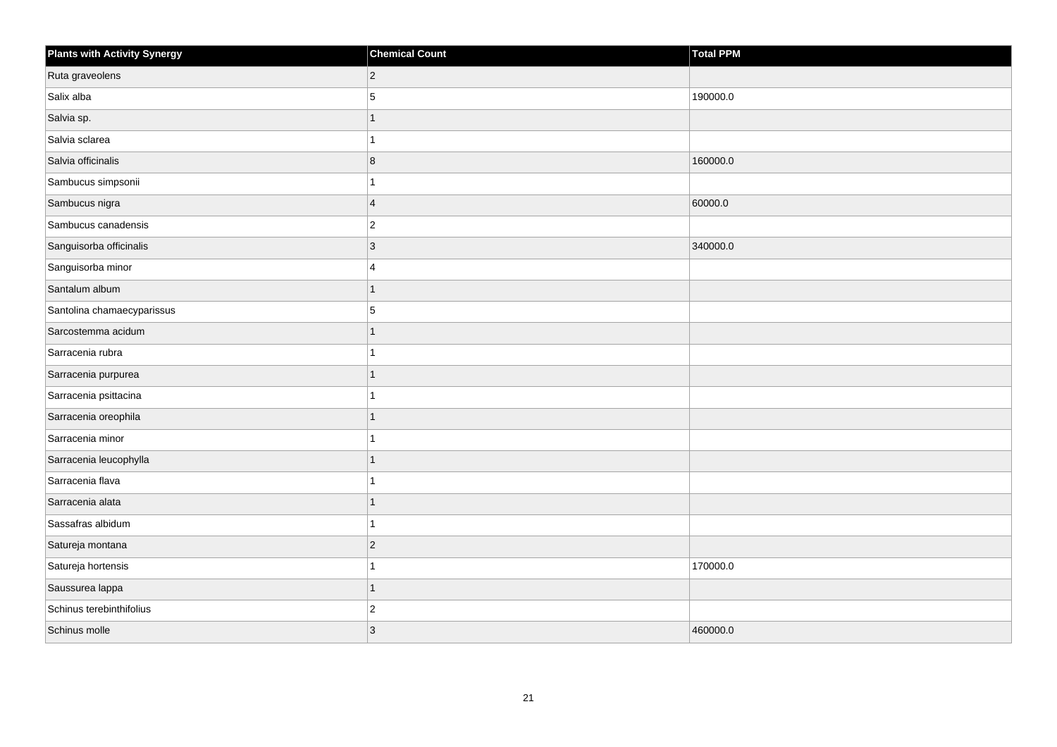| <b>Plants with Activity Synergy</b> | <b>Chemical Count</b> | Total PPM |
|-------------------------------------|-----------------------|-----------|
| Ruta graveolens                     | $ 2\rangle$           |           |
| Salix alba                          | 5                     | 190000.0  |
| Salvia sp.                          | 1                     |           |
| Salvia sclarea                      | $\mathbf{1}$          |           |
| Salvia officinalis                  | 8                     | 160000.0  |
| Sambucus simpsonii                  | 1                     |           |
| Sambucus nigra                      | $\vert 4 \vert$       | 60000.0   |
| Sambucus canadensis                 | $ 2\rangle$           |           |
| Sanguisorba officinalis             | $ 3\rangle$           | 340000.0  |
| Sanguisorba minor                   | $\overline{4}$        |           |
| Santalum album                      | 1                     |           |
| Santolina chamaecyparissus          | $\overline{5}$        |           |
| Sarcostemma acidum                  | $\mathbf{1}$          |           |
| Sarracenia rubra                    | 1                     |           |
| Sarracenia purpurea                 | 1                     |           |
| Sarracenia psittacina               | 1                     |           |
| Sarracenia oreophila                |                       |           |
| Sarracenia minor                    | 1                     |           |
| Sarracenia leucophylla              | $\mathbf{1}$          |           |
| Sarracenia flava                    | 1                     |           |
| Sarracenia alata                    | 1                     |           |
| Sassafras albidum                   | 1                     |           |
| Satureja montana                    | $ 2\rangle$           |           |
| Satureja hortensis                  | 1                     | 170000.0  |
| Saussurea lappa                     | $\mathbf{1}$          |           |
| Schinus terebinthifolius            | $ 2\rangle$           |           |
| Schinus molle                       | $\vert$ 3             | 460000.0  |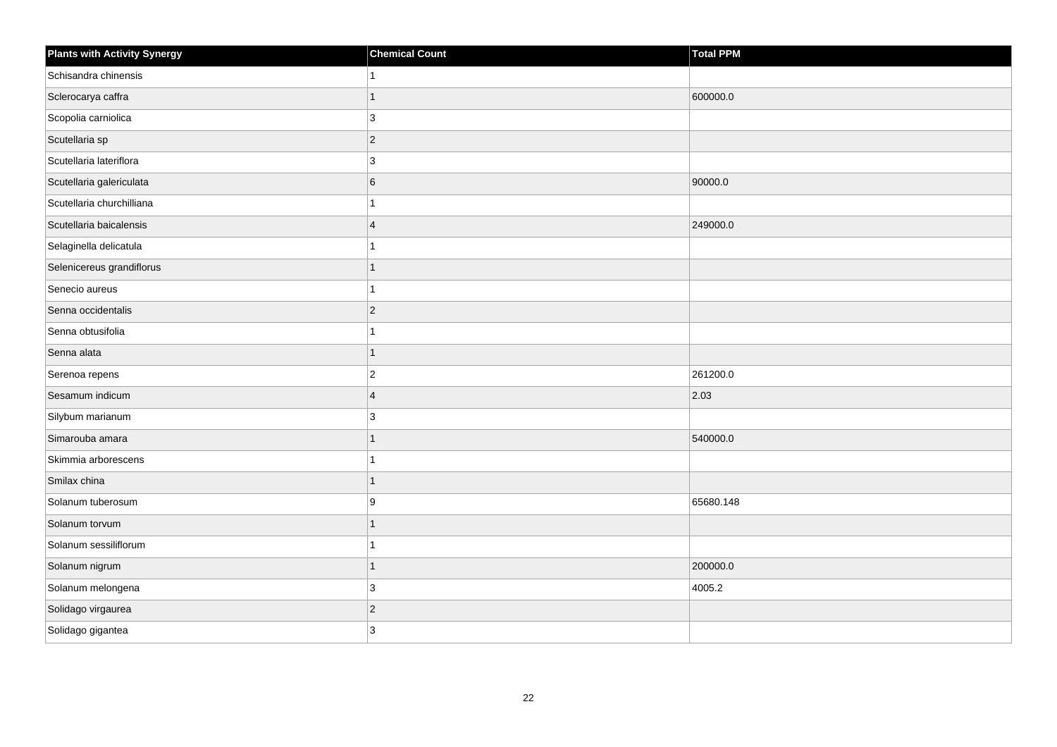| <b>Plants with Activity Synergy</b> | <b>Chemical Count</b> | <b>Total PPM</b> |
|-------------------------------------|-----------------------|------------------|
| Schisandra chinensis                |                       |                  |
| Sclerocarya caffra                  |                       | 600000.0         |
| Scopolia carniolica                 | 3                     |                  |
| Scutellaria sp                      | $\overline{2}$        |                  |
| Scutellaria lateriflora             | 3                     |                  |
| Scutellaria galericulata            | 6                     | 90000.0          |
| Scutellaria churchilliana           |                       |                  |
| Scutellaria baicalensis             | $\boldsymbol{\Delta}$ | 249000.0         |
| Selaginella delicatula              |                       |                  |
| Selenicereus grandiflorus           |                       |                  |
| Senecio aureus                      |                       |                  |
| Senna occidentalis                  | $\overline{2}$        |                  |
| Senna obtusifolia                   |                       |                  |
| Senna alata                         | 1                     |                  |
| Serenoa repens                      | $\overline{2}$        | 261200.0         |
| Sesamum indicum                     | $\overline{4}$        | 2.03             |
| Silybum marianum                    | 3                     |                  |
| Simarouba amara                     |                       | 540000.0         |
| Skimmia arborescens                 | 1                     |                  |
| Smilax china                        |                       |                  |
| Solanum tuberosum                   | 9                     | 65680.148        |
| Solanum torvum                      | 1                     |                  |
| Solanum sessiliflorum               |                       |                  |
| Solanum nigrum                      |                       | 200000.0         |
| Solanum melongena                   | 3                     | 4005.2           |
| Solidago virgaurea                  | $\overline{c}$        |                  |
| Solidago gigantea                   | 3                     |                  |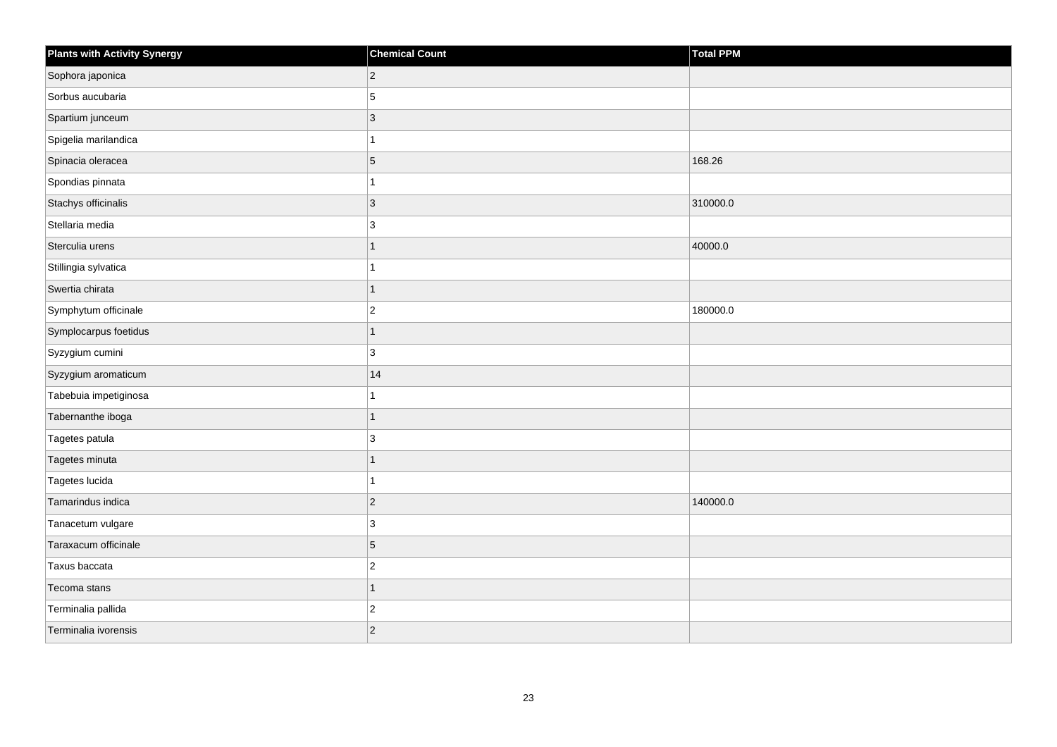| <b>Plants with Activity Synergy</b> | <b>Chemical Count</b> | Total PPM |
|-------------------------------------|-----------------------|-----------|
| Sophora japonica                    | $\overline{c}$        |           |
| Sorbus aucubaria                    | 5                     |           |
| Spartium junceum                    | $\mathfrak{S}$        |           |
| Spigelia marilandica                | 1                     |           |
| Spinacia oleracea                   | 5                     | 168.26    |
| Spondias pinnata                    | 1                     |           |
| Stachys officinalis                 | $\overline{3}$        | 310000.0  |
| Stellaria media                     | 3                     |           |
| Sterculia urens                     | $\overline{1}$        | 40000.0   |
| Stillingia sylvatica                | 1                     |           |
| Swertia chirata                     | $\overline{1}$        |           |
| Symphytum officinale                | $\overline{c}$        | 180000.0  |
| Symplocarpus foetidus               | $\mathbf{1}$          |           |
| Syzygium cumini                     | 3                     |           |
| Syzygium aromaticum                 | 14                    |           |
| Tabebuia impetiginosa               | 1                     |           |
| Tabernanthe iboga                   | $\overline{1}$        |           |
| Tagetes patula                      | 3                     |           |
| Tagetes minuta                      | $\mathbf{1}$          |           |
| Tagetes lucida                      | 1                     |           |
| Tamarindus indica                   | $\overline{c}$        | 140000.0  |
| Tanacetum vulgare                   | 3                     |           |
| Taraxacum officinale                | 5                     |           |
| Taxus baccata                       | $\overline{c}$        |           |
| Tecoma stans                        | $\mathbf{1}$          |           |
| Terminalia pallida                  | $\overline{c}$        |           |
| Terminalia ivorensis                | $\overline{c}$        |           |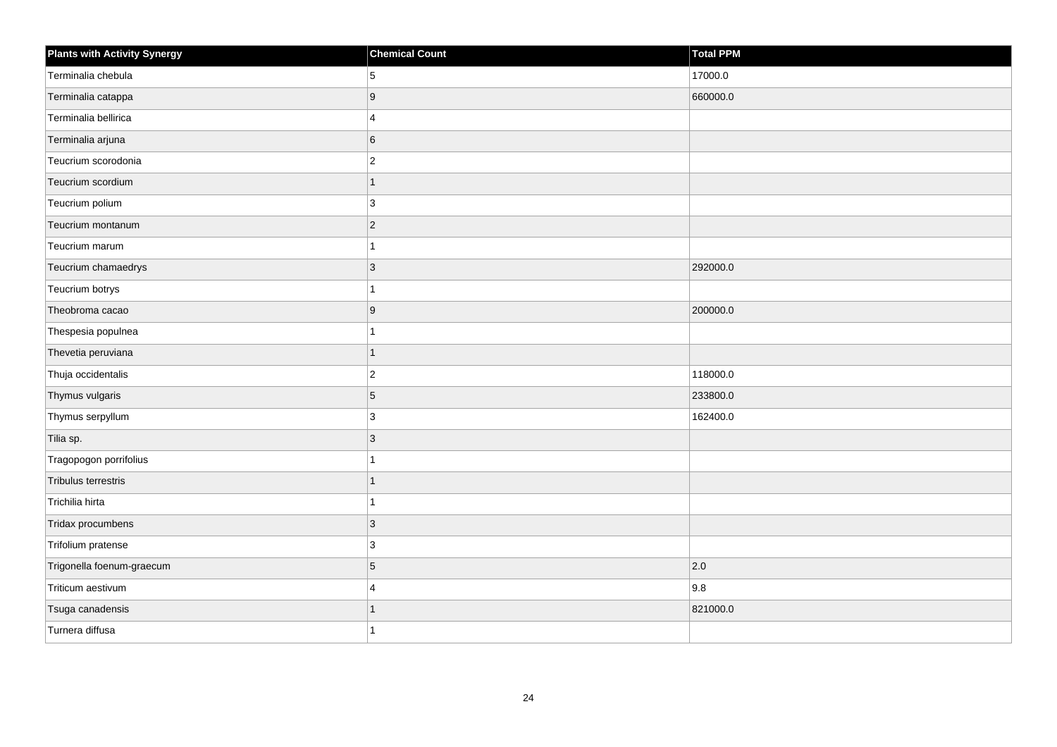| <b>Plants with Activity Synergy</b> | <b>Chemical Count</b> | Total PPM |
|-------------------------------------|-----------------------|-----------|
| Terminalia chebula                  | 5                     | 17000.0   |
| Terminalia catappa                  | 9                     | 660000.0  |
| Terminalia bellirica                | 4                     |           |
| Terminalia arjuna                   | 6                     |           |
| Teucrium scorodonia                 | $\overline{2}$        |           |
| Teucrium scordium                   | 1                     |           |
| Teucrium polium                     | $\mathbf{3}$          |           |
| Teucrium montanum                   | $\overline{2}$        |           |
| Teucrium marum                      |                       |           |
| Teucrium chamaedrys                 | $\overline{3}$        | 292000.0  |
| Teucrium botrys                     |                       |           |
| Theobroma cacao                     | 9                     | 200000.0  |
| Thespesia populnea                  | 1                     |           |
| Thevetia peruviana                  | 1                     |           |
| Thuja occidentalis                  | $\overline{2}$        | 118000.0  |
| Thymus vulgaris                     | 5                     | 233800.0  |
| Thymus serpyllum                    | 3                     | 162400.0  |
| Tilia sp.                           | $\overline{3}$        |           |
| Tragopogon porrifolius              | 1                     |           |
| Tribulus terrestris                 | 1                     |           |
| Trichilia hirta                     |                       |           |
| Tridax procumbens                   | 3                     |           |
| Trifolium pratense                  | 3                     |           |
| Trigonella foenum-graecum           | 5                     | 2.0       |
| Triticum aestivum                   | 4                     | 9.8       |
| Tsuga canadensis                    |                       | 821000.0  |
| Turnera diffusa                     |                       |           |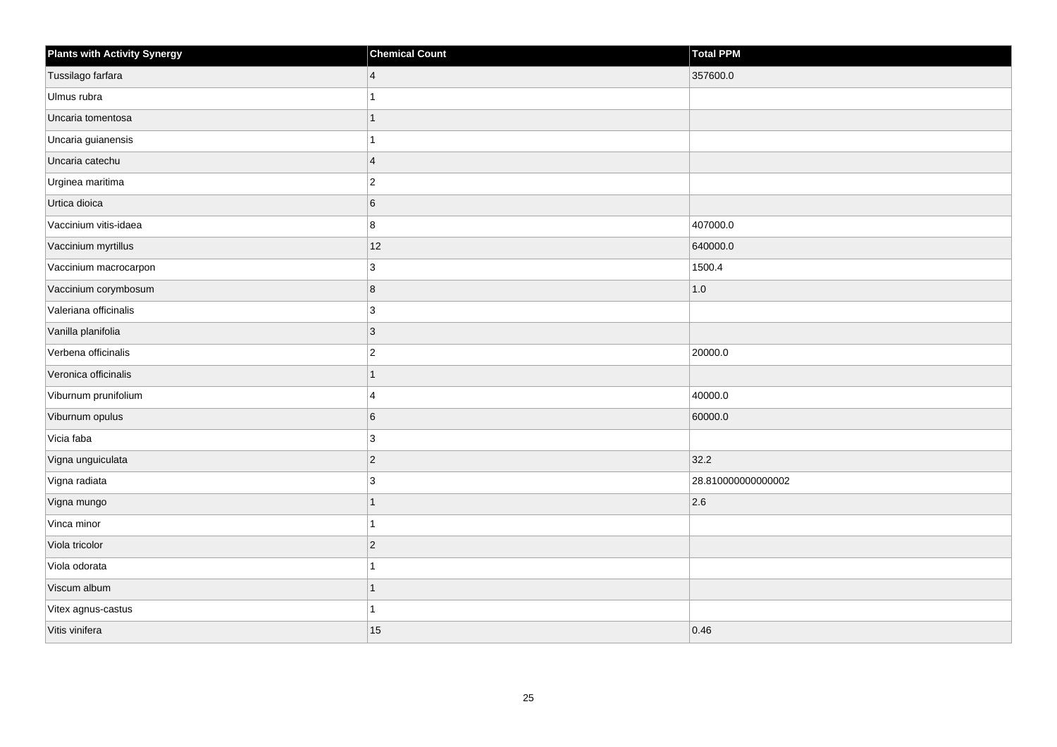| <b>Plants with Activity Synergy</b> | <b>Chemical Count</b> | Total PPM          |
|-------------------------------------|-----------------------|--------------------|
| Tussilago farfara                   | $\vert 4 \vert$       | 357600.0           |
| Ulmus rubra                         | 1                     |                    |
| Uncaria tomentosa                   | 1                     |                    |
| Uncaria guianensis                  | 1                     |                    |
| Uncaria catechu                     | $\overline{4}$        |                    |
| Urginea maritima                    | $ 2\rangle$           |                    |
| Urtica dioica                       | 6                     |                    |
| Vaccinium vitis-idaea               | 8                     | 407000.0           |
| Vaccinium myrtillus                 | 12                    | 640000.0           |
| Vaccinium macrocarpon               | 3                     | 1500.4             |
| Vaccinium corymbosum                | 8                     | 1.0                |
| Valeriana officinalis               | 3                     |                    |
| Vanilla planifolia                  | $ _3$                 |                    |
| Verbena officinalis                 | $ 2\rangle$           | 20000.0            |
| Veronica officinalis                | 1                     |                    |
| Viburnum prunifolium                | $\overline{4}$        | 40000.0            |
| Viburnum opulus                     | $\,6$                 | 60000.0            |
| Vicia faba                          | 3                     |                    |
| Vigna unguiculata                   | $ 2\rangle$           | 32.2               |
| Vigna radiata                       | 3                     | 28.810000000000002 |
| Vigna mungo                         | $\mathbf{1}$          | 2.6                |
| Vinca minor                         | $\mathbf{1}$          |                    |
| Viola tricolor                      | $ 2\rangle$           |                    |
| Viola odorata                       | 1                     |                    |
| Viscum album                        | $\mathbf{1}$          |                    |
| Vitex agnus-castus                  | 1                     |                    |
| Vitis vinifera                      | 15                    | 0.46               |